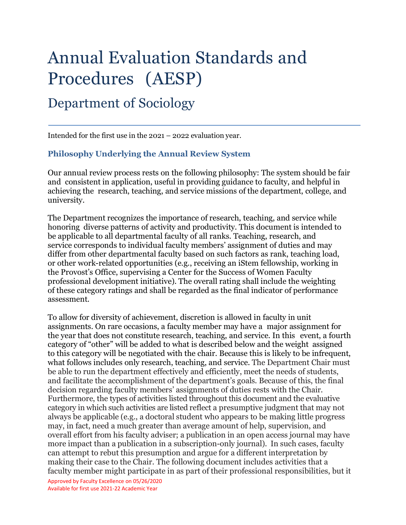# Annual Evaluation Standards and Procedures (AESP)

# Department of Sociology

Intended for the first use in the 2021 – 2022 evaluation year.

### **Philosophy Underlying the Annual Review System**

Our annual review process rests on the following philosophy: The system should be fair and consistent in application, useful in providing guidance to faculty, and helpful in achieving the research, teaching, and service missions of the department, college, and university.

The Department recognizes the importance of research, teaching, and service while honoring diverse patterns of activity and productivity. This document is intended to be applicable to all departmental faculty of all ranks. Teaching, research, and service corresponds to individual faculty members' assignment of duties and may differ from other departmental faculty based on such factors as rank, teaching load, or other work-related opportunities (e.g., receiving an iStem fellowship, working in the Provost's Office, supervising a Center for the Success of Women Faculty professional development initiative). The overall rating shall include the weighting of these category ratings and shall be regarded as the final indicator of performance assessment.

To allow for diversity of achievement, discretion is allowed in faculty in unit assignments. On rare occasions, a faculty member may have a major assignment for the year that does not constitute research, teaching, and service. In this event, a fourth category of "other" will be added to what is described below and the weight assigned to this category will be negotiated with the chair. Because this is likely to be infrequent, what follows includes only research, teaching, and service. The Department Chair must be able to run the department effectively and efficiently, meet the needs of students, and facilitate the accomplishment of the department's goals. Because of this, the final decision regarding faculty members' assignments of duties rests with the Chair. Furthermore, the types of activities listed throughout this document and the evaluative category in which such activities are listed reflect a presumptive judgment that may not always be applicable (e.g., a doctoral student who appears to be making little progress may, in fact, need a much greater than average amount of help, supervision, and overall effort from his faculty adviser; a publication in an open access journal may have more impact than a publication in a subscription-only journal). In such cases, faculty can attempt to rebut this presumption and argue for a different interpretation by making their case to the Chair. The following document includes activities that a faculty member might participate in as part of their professional responsibilities, but it

Approved by Faculty Excellence on 05/26/2020 Available for first use 2021-22 Academic Year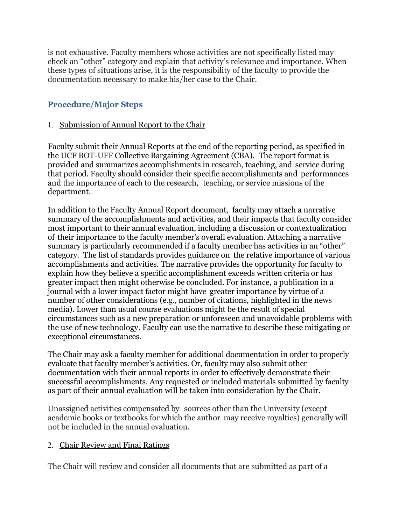is not exhaustive. Faculty members whose activities are not specifically listed may check an "other" category and explain that activity's relevance and importance. When these types of situations arise, it is the responsibility of the faculty to provide the documentation necessary to make his/her case to the Chair.

### **Procedure/Major Steps**

### 1. Submission of Annual Report to the Chair

Faculty submit their Annual Reports at the end of the reporting period, as specified in the UCF BOT-UFF Collective Bargaining Agreement (CBA). The report format is provided and summarizes accomplishments in research, teaching, and service during that period. Faculty should consider their specific accomplishments and performances and the importance of each to the research, teaching, or service missions of the department.

In addition to the Faculty Annual Report document, faculty may attach a narrative summary of the accomplishments and activities, and their impacts that faculty consider most important to their annual evaluation, including a discussion or contextualization of their importance to the faculty member's overall evaluation. Attaching a narrative summary is particularly recommended if a faculty member has activities in an "other" category. The list of standards provides guidance on the relative importance of various accomplishments and activities. The narrative provides the opportunity for faculty to explain how they believe a specific accomplishment exceeds written criteria or has greater impact then might otherwise be concluded. For instance, a publication in a journal with a lower impact factor might have greater importance by virtue of a number of other considerations (e.g., number of citations, highlighted in the news media). Lower than usual course evaluations might be the result of special circumstances such as a new preparation or unforeseen and unavoidable problems with the use of new technology. Faculty can use the narrative to describe these mitigating or exceptional circumstances.

The Chair may ask a faculty member for additional documentation in order to properly evaluate that faculty member's activities. Or, faculty may also submit other documentation with their annual reports in order to effectively demonstrate their successful accomplishments. Any requested or included materials submitted by faculty as part of their annual evaluation will be taken into consideration by the Chair.

Unassigned activities compensated by sources other than the University (except academic books or textbooks for which the author may receive royalties) generally will not be included in the annual evaluation.

#### 2. Chair Review and Final Ratings

The Chair will review and consider all documents that are submitted as part of a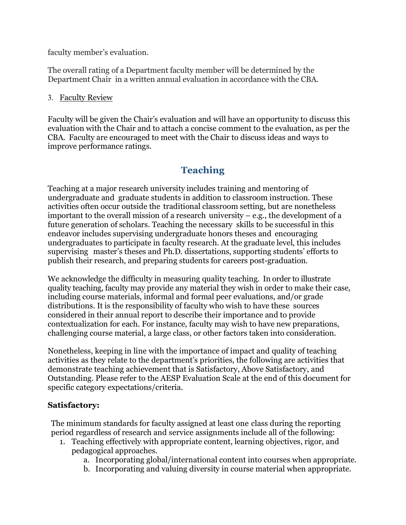faculty member's evaluation.

The overall rating of a Department faculty member will be determined by the Department Chair in a written annual evaluation in accordance with the CBA.

### 3. Faculty Review

Faculty will be given the Chair's evaluation and will have an opportunity to discuss this evaluation with the Chair and to attach a concise comment to the evaluation, as per the CBA. Faculty are encouraged to meet with the Chair to discuss ideas and ways to improve performance ratings.

### **Teaching**

Teaching at a major research university includes training and mentoring of undergraduate and graduate students in addition to classroom instruction. These activities often occur outside the traditional classroom setting, but are nonetheless important to the overall mission of a research university  $-$  e.g., the development of a future generation of scholars. Teaching the necessary skills to be successful in this endeavor includes supervising undergraduate honors theses and encouraging undergraduates to participate in faculty research. At the graduate level, this includes supervising master's theses and Ph.D. dissertations, supporting students' efforts to publish their research, and preparing students for careers post-graduation.

We acknowledge the difficulty in measuring quality teaching. In order to illustrate quality teaching, faculty may provide any material they wish in order to make their case, including course materials, informal and formal peer evaluations, and/or grade distributions. It is the responsibility of faculty who wish to have these sources considered in their annual report to describe their importance and to provide contextualization for each. For instance, faculty may wish to have new preparations, challenging course material, a large class, or other factors taken into consideration.

Nonetheless, keeping in line with the importance of impact and quality of teaching activities as they relate to the department's priorities, the following are activities that demonstrate teaching achievement that is Satisfactory, Above Satisfactory, and Outstanding. Please refer to the AESP Evaluation Scale at the end of this document for specific category expectations/criteria.

### **Satisfactory:**

The minimum standards for faculty assigned at least one class during the reporting period regardless of research and service assignments include all of the following:

- 1. Teaching effectively with appropriate content, learning objectives, rigor, and pedagogical approaches.
	- a. Incorporating global/international content into courses when appropriate.
	- b. Incorporating and valuing diversity in course material when appropriate.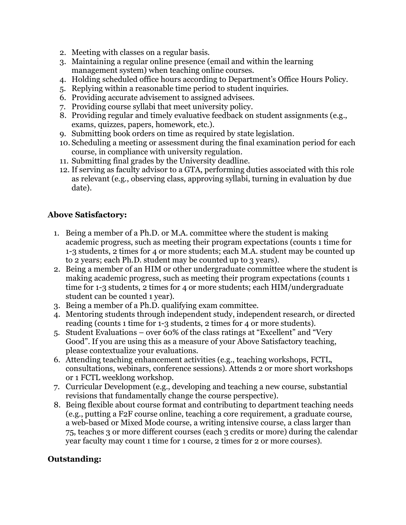- 2. Meeting with classes on a regular basis.
- 3. Maintaining a regular online presence (email and within the learning management system) when teaching online courses.
- 4. Holding scheduled office hours according to Department's Office Hours Policy.
- 5. Replying within a reasonable time period to student inquiries.
- 6. Providing accurate advisement to assigned advisees.
- 7. Providing course syllabi that meet university policy.
- 8. Providing regular and timely evaluative feedback on student assignments (e.g., exams, quizzes, papers, homework, etc.).
- 9. Submitting book orders on time as required by state legislation.
- 10. Scheduling a meeting or assessment during the final examination period for each course, in compliance with university regulation.
- 11. Submitting final grades by the University deadline.
- 12. If serving as faculty advisor to a GTA, performing duties associated with this role as relevant (e.g., observing class, approving syllabi, turning in evaluation by due date).

### **Above Satisfactory:**

- 1. Being a member of a Ph.D. or M.A. committee where the student is making academic progress, such as meeting their program expectations (counts 1 time for 1-3 students, 2 times for 4 or more students; each M.A. student may be counted up to 2 years; each Ph.D. student may be counted up to 3 years).
- 2. Being a member of an HIM or other undergraduate committee where the student is making academic progress, such as meeting their program expectations (counts 1 time for 1-3 students, 2 times for 4 or more students; each HIM/undergraduate student can be counted 1 year).
- 3. Being a member of a Ph.D. qualifying exam committee.
- 4. Mentoring students through independent study, independent research, or directed reading (counts 1 time for 1-3 students, 2 times for 4 or more students).
- 5. Student Evaluations over 60% of the class ratings at "Excellent" and "Very Good". If you are using this as a measure of your Above Satisfactory teaching, please contextualize your evaluations.
- 6. Attending teaching enhancement activities (e.g., teaching workshops, FCTL, consultations, webinars, conference sessions). Attends 2 or more short workshops or 1 FCTL weeklong workshop.
- 7. Curricular Development (e.g., developing and teaching a new course, substantial revisions that fundamentally change the course perspective).
- 8. Being flexible about course format and contributing to department teaching needs (e.g., putting a F2F course online, teaching a core requirement, a graduate course, a web-based or Mixed Mode course, a writing intensive course, a class larger than 75, teaches 3 or more different courses (each 3 credits or more) during the calendar year faculty may count 1 time for 1 course, 2 times for 2 or more courses).

### **Outstanding:**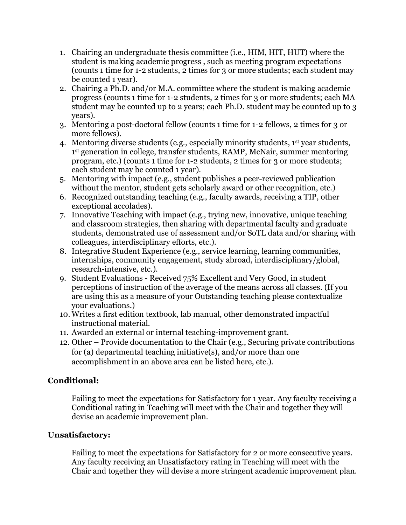- 1. Chairing an undergraduate thesis committee (i.e., HIM, HIT, HUT) where the student is making academic progress , such as meeting program expectations (counts 1 time for 1-2 students, 2 times for 3 or more students; each student may be counted 1 year).
- 2. Chairing a Ph.D. and/or M.A. committee where the student is making academic progress (counts 1 time for 1-2 students, 2 times for 3 or more students; each MA student may be counted up to 2 years; each Ph.D. student may be counted up to 3 years).
- 3. Mentoring a post-doctoral fellow (counts 1 time for 1-2 fellows, 2 times for 3 or more fellows).
- 4. Mentoring diverse students (e.g., especially minority students, 1st year students, 1st generation in college, transfer students, RAMP, McNair, summer mentoring program, etc.) (counts 1 time for 1-2 students, 2 times for 3 or more students; each student may be counted 1 year).
- 5. Mentoring with impact (e.g., student publishes a peer-reviewed publication without the mentor, student gets scholarly award or other recognition, etc.)
- 6. Recognized outstanding teaching (e.g., faculty awards, receiving a TIP, other exceptional accolades).
- 7. Innovative Teaching with impact (e.g., trying new, innovative, unique teaching and classroom strategies, then sharing with departmental faculty and graduate students, demonstrated use of assessment and/or SoTL data and/or sharing with colleagues, interdisciplinary efforts, etc.).
- 8. Integrative Student Experience (e.g., service learning, learning communities, internships, community engagement, study abroad, interdisciplinary/global, research-intensive, etc.).
- 9. Student Evaluations Received 75% Excellent and Very Good, in student perceptions of instruction of the average of the means across all classes. (If you are using this as a measure of your Outstanding teaching please contextualize your evaluations.)
- 10. Writes a first edition textbook, lab manual, other demonstrated impactful instructional material.
- 11. Awarded an external or internal teaching-improvement grant.
- 12. Other Provide documentation to the Chair (e.g., Securing private contributions for (a) departmental teaching initiative(s), and/or more than one accomplishment in an above area can be listed here, etc.).

### **Conditional:**

Failing to meet the expectations for Satisfactory for 1 year. Any faculty receiving a Conditional rating in Teaching will meet with the Chair and together they will devise an academic improvement plan.

### **Unsatisfactory:**

Failing to meet the expectations for Satisfactory for 2 or more consecutive years. Any faculty receiving an Unsatisfactory rating in Teaching will meet with the Chair and together they will devise a more stringent academic improvement plan.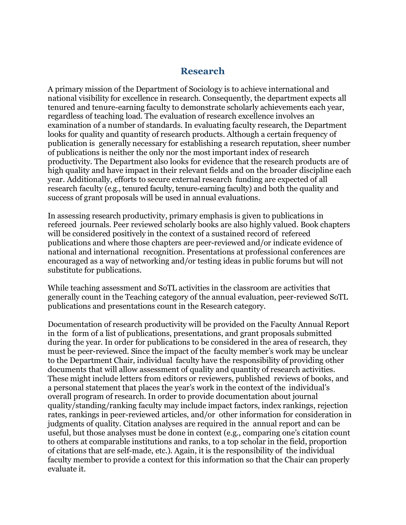### **Research**

A primary mission of the Department of Sociology is to achieve international and national visibility for excellence in research. Consequently, the department expects all tenured and tenure-earning faculty to demonstrate scholarly achievements each year, regardless of teaching load. The evaluation of research excellence involves an examination of a number of standards. In evaluating faculty research, the Department looks for quality and quantity of research products. Although a certain frequency of publication is generally necessary for establishing a research reputation, sheer number of publications is neither the only nor the most important index of research productivity. The Department also looks for evidence that the research products are of high quality and have impact in their relevant fields and on the broader discipline each year. Additionally, efforts to secure external research funding are expected of all research faculty (e.g., tenured faculty, tenure-earning faculty) and both the quality and success of grant proposals will be used in annual evaluations.

In assessing research productivity, primary emphasis is given to publications in refereed journals. Peer reviewed scholarly books are also highly valued. Book chapters will be considered positively in the context of a sustained record of refereed publications and where those chapters are peer-reviewed and/or indicate evidence of national and international recognition. Presentations at professional conferences are encouraged as a way of networking and/or testing ideas in public forums but will not substitute for publications.

While teaching assessment and SoTL activities in the classroom are activities that generally count in the Teaching category of the annual evaluation, peer-reviewed SoTL publications and presentations count in the Research category.

Documentation of research productivity will be provided on the Faculty Annual Report in the form of a list of publications, presentations, and grant proposals submitted during the year. In order for publications to be considered in the area of research, they must be peer-reviewed. Since the impact of the faculty member's work may be unclear to the Department Chair, individual faculty have the responsibility of providing other documents that will allow assessment of quality and quantity of research activities. These might include letters from editors or reviewers, published reviews of books, and a personal statement that places the year's work in the context of the individual's overall program of research. In order to provide documentation about journal quality/standing/ranking faculty may include impact factors, index rankings, rejection rates, rankings in peer-reviewed articles, and/or other information for consideration in judgments of quality. Citation analyses are required in the annual report and can be useful, but those analyses must be done in context (e.g., comparing one's citation count to others at comparable institutions and ranks, to a top scholar in the field, proportion of citations that are self-made, etc.). Again, it is the responsibility of the individual faculty member to provide a context for this information so that the Chair can properly evaluate it.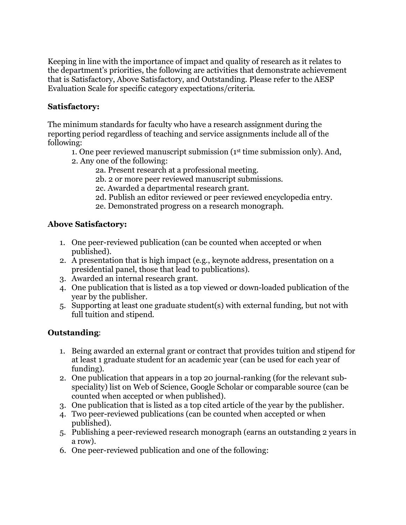Keeping in line with the importance of impact and quality of research as it relates to the department's priorities, the following are activities that demonstrate achievement that is Satisfactory, Above Satisfactory, and Outstanding. Please refer to the AESP Evaluation Scale for specific category expectations/criteria.

### **Satisfactory:**

The minimum standards for faculty who have a research assignment during the reporting period regardless of teaching and service assignments include all of the following:

- 1. One peer reviewed manuscript submission (1st time submission only). And,
- 2. Any one of the following:
	- 2a. Present research at a professional meeting.
	- 2b. 2 or more peer reviewed manuscript submissions.
	- 2c. Awarded a departmental research grant.
	- 2d. Publish an editor reviewed or peer reviewed encyclopedia entry.
	- 2e. Demonstrated progress on a research monograph.

### **Above Satisfactory:**

- 1. One peer-reviewed publication (can be counted when accepted or when published).
- 2. A presentation that is high impact (e.g., keynote address, presentation on a presidential panel, those that lead to publications).
- 3. Awarded an internal research grant.
- 4. One publication that is listed as a top viewed or down-loaded publication of the year by the publisher.
- 5. Supporting at least one graduate student(s) with external funding, but not with full tuition and stipend.

### **Outstanding**:

- 1. Being awarded an external grant or contract that provides tuition and stipend for at least 1 graduate student for an academic year (can be used for each year of funding).
- 2. One publication that appears in a top 20 journal-ranking (for the relevant subspeciality) list on Web of Science, Google Scholar or comparable source (can be counted when accepted or when published).
- 3. One publication that is listed as a top cited article of the year by the publisher.
- 4. Two peer-reviewed publications (can be counted when accepted or when published).
- 5. Publishing a peer-reviewed research monograph (earns an outstanding 2 years in a row).
- 6. One peer-reviewed publication and one of the following: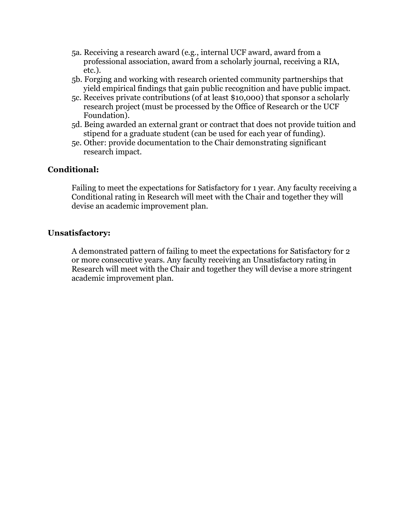- 5a. Receiving a research award (e.g., internal UCF award, award from a professional association, award from a scholarly journal, receiving a RIA, etc.).
- 5b. Forging and working with research oriented community partnerships that yield empirical findings that gain public recognition and have public impact.
- 5c. Receives private contributions (of at least \$10,000) that sponsor a scholarly research project (must be processed by the Office of Research or the UCF Foundation).
- 5d. Being awarded an external grant or contract that does not provide tuition and stipend for a graduate student (can be used for each year of funding).
- 5e. Other: provide documentation to the Chair demonstrating significant research impact.

### **Conditional:**

Failing to meet the expectations for Satisfactory for 1 year. Any faculty receiving a Conditional rating in Research will meet with the Chair and together they will devise an academic improvement plan.

#### **Unsatisfactory:**

A demonstrated pattern of failing to meet the expectations for Satisfactory for 2 or more consecutive years. Any faculty receiving an Unsatisfactory rating in Research will meet with the Chair and together they will devise a more stringent academic improvement plan.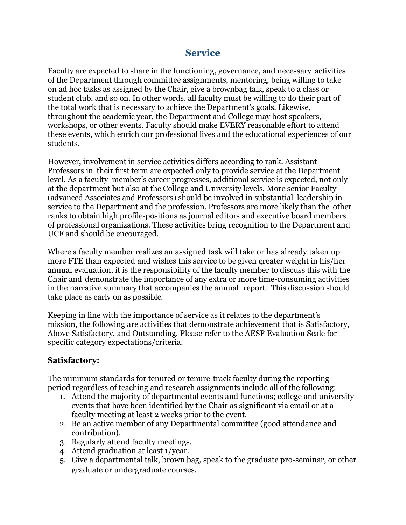### **Service**

Faculty are expected to share in the functioning, governance, and necessary activities of the Department through committee assignments, mentoring, being willing to take on ad hoc tasks as assigned by the Chair, give a brownbag talk, speak to a class or student club, and so on. In other words, all faculty must be willing to do their part of the total work that is necessary to achieve the Department's goals. Likewise, throughout the academic year, the Department and College may host speakers, workshops, or other events. Faculty should make EVERY reasonable effort to attend these events, which enrich our professional lives and the educational experiences of our students.

However, involvement in service activities differs according to rank. Assistant Professors in their first term are expected only to provide service at the Department level. As a faculty member's career progresses, additional service is expected, not only at the department but also at the College and University levels. More senior Faculty (advanced Associates and Professors) should be involved in substantial leadership in service to the Department and the profession. Professors are more likely than the other ranks to obtain high profile-positions as journal editors and executive board members of professional organizations. These activities bring recognition to the Department and UCF and should be encouraged.

Where a faculty member realizes an assigned task will take or has already taken up more FTE than expected and wishes this service to be given greater weight in his/her annual evaluation, it is the responsibility of the faculty member to discuss this with the Chair and demonstrate the importance of any extra or more time-consuming activities in the narrative summary that accompanies the annual report. This discussion should take place as early on as possible.

Keeping in line with the importance of service as it relates to the department's mission, the following are activities that demonstrate achievement that is Satisfactory, Above Satisfactory, and Outstanding. Please refer to the AESP Evaluation Scale for specific category expectations/criteria.

### **Satisfactory:**

The minimum standards for tenured or tenure-track faculty during the reporting period regardless of teaching and research assignments include all of the following:

- 1. Attend the majority of departmental events and functions; college and university events that have been identified by the Chair as significant via email or at a faculty meeting at least 2 weeks prior to the event.
- 2. Be an active member of any Departmental committee (good attendance and contribution).
- 3. Regularly attend faculty meetings.
- 4. Attend graduation at least 1/year.
- 5. Give a departmental talk, brown bag, speak to the graduate pro-seminar, or other graduate or undergraduate courses.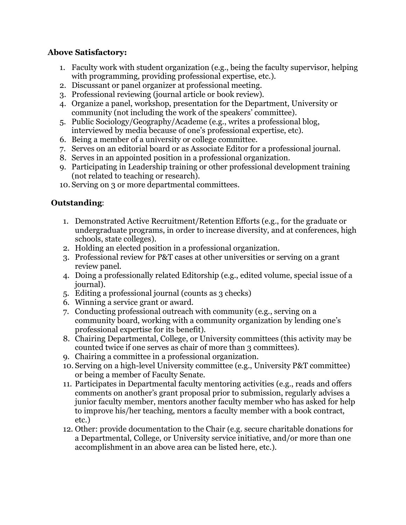### **Above Satisfactory:**

- 1. Faculty work with student organization (e.g., being the faculty supervisor, helping with programming, providing professional expertise, etc.).
- 2. Discussant or panel organizer at professional meeting.
- 3. Professional reviewing (journal article or book review).
- 4. Organize a panel, workshop, presentation for the Department, University or community (not including the work of the speakers' committee).
- 5. Public Sociology/Geography/Academe (e.g., writes a professional blog, interviewed by media because of one's professional expertise, etc).
- 6. Being a member of a university or college committee.
- 7. Serves on an editorial board or as Associate Editor for a professional journal.
- 8. Serves in an appointed position in a professional organization.
- 9. Participating in Leadership training or other professional development training (not related to teaching or research).
- 10. Serving on 3 or more departmental committees.

### **Outstanding**:

- 1. Demonstrated Active Recruitment/Retention Efforts (e.g., for the graduate or undergraduate programs, in order to increase diversity, and at conferences, high schools, state colleges).
- 2. Holding an elected position in a professional organization.
- 3. Professional review for P&T cases at other universities or serving on a grant review panel.
- 4. Doing a professionally related Editorship (e.g., edited volume, special issue of a journal).
- 5. Editing a professional journal (counts as 3 checks)
- 6. Winning a service grant or award.
- 7. Conducting professional outreach with community (e.g., serving on a community board, working with a community organization by lending one's professional expertise for its benefit).
- 8. Chairing Departmental, College, or University committees (this activity may be counted twice if one serves as chair of more than 3 committees).
- 9. Chairing a committee in a professional organization.
- 10. Serving on a high-level University committee (e.g., University P&T committee) or being a member of Faculty Senate.
- 11. Participates in Departmental faculty mentoring activities (e.g., reads and offers comments on another's grant proposal prior to submission, regularly advises a junior faculty member, mentors another faculty member who has asked for help to improve his/her teaching, mentors a faculty member with a book contract, etc.)
- 12. Other: provide documentation to the Chair (e.g. secure charitable donations for a Departmental, College, or University service initiative, and/or more than one accomplishment in an above area can be listed here, etc.).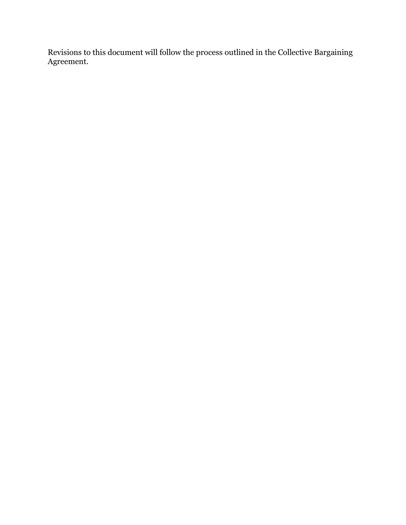Revisions to this document will follow the process outlined in the Collective Bargaining Agreement.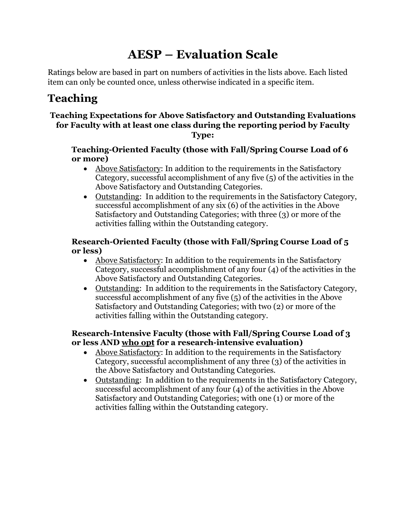# **AESP – Evaluation Scale**

Ratings below are based in part on numbers of activities in the lists above. Each listed item can only be counted once, unless otherwise indicated in a specific item.

# **Teaching**

### **Teaching Expectations for Above Satisfactory and Outstanding Evaluations for Faculty with at least one class during the reporting period by Faculty Type:**

### **Teaching-Oriented Faculty (those with Fall/Spring Course Load of 6 or more)**

- Above Satisfactory: In addition to the requirements in the Satisfactory Category, successful accomplishment of any five (5) of the activities in the Above Satisfactory and Outstanding Categories.
- Outstanding: In addition to the requirements in the Satisfactory Category, successful accomplishment of any six (6) of the activities in the Above Satisfactory and Outstanding Categories; with three (3) or more of the activities falling within the Outstanding category.

### **Research-Oriented Faculty (those with Fall/Spring Course Load of 5 or less)**

- Above Satisfactory: In addition to the requirements in the Satisfactory Category, successful accomplishment of any four (4) of the activities in the Above Satisfactory and Outstanding Categories.
- Outstanding: In addition to the requirements in the Satisfactory Category, successful accomplishment of any five (5) of the activities in the Above Satisfactory and Outstanding Categories; with two (2) or more of the activities falling within the Outstanding category.

### **Research-Intensive Faculty (those with Fall/Spring Course Load of 3 or less AND who opt for a research-intensive evaluation)**

- Above Satisfactory: In addition to the requirements in the Satisfactory Category, successful accomplishment of any three (3) of the activities in the Above Satisfactory and Outstanding Categories.
- Outstanding: In addition to the requirements in the Satisfactory Category, successful accomplishment of any four (4) of the activities in the Above Satisfactory and Outstanding Categories; with one (1) or more of the activities falling within the Outstanding category.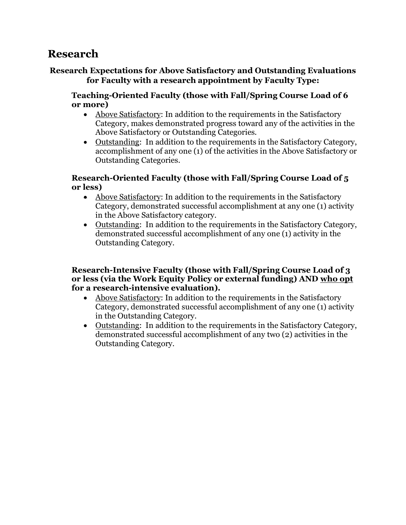### **Research**

### **Research Expectations for Above Satisfactory and Outstanding Evaluations for Faculty with a research appointment by Faculty Type:**

### **Teaching-Oriented Faculty (those with Fall/Spring Course Load of 6 or more)**

- Above Satisfactory: In addition to the requirements in the Satisfactory Category, makes demonstrated progress toward any of the activities in the Above Satisfactory or Outstanding Categories.
- Outstanding: In addition to the requirements in the Satisfactory Category, accomplishment of any one (1) of the activities in the Above Satisfactory or Outstanding Categories.

### **Research-Oriented Faculty (those with Fall/Spring Course Load of 5 or less)**

- Above Satisfactory: In addition to the requirements in the Satisfactory Category, demonstrated successful accomplishment at any one (1) activity in the Above Satisfactory category.
- Outstanding: In addition to the requirements in the Satisfactory Category, demonstrated successful accomplishment of any one (1) activity in the Outstanding Category.

### **Research-Intensive Faculty (those with Fall/Spring Course Load of 3 or less (via the Work Equity Policy or external funding) AND who opt for a research-intensive evaluation).**

- Above Satisfactory: In addition to the requirements in the Satisfactory Category, demonstrated successful accomplishment of any one (1) activity in the Outstanding Category.
- Outstanding: In addition to the requirements in the Satisfactory Category, demonstrated successful accomplishment of any two (2) activities in the Outstanding Category.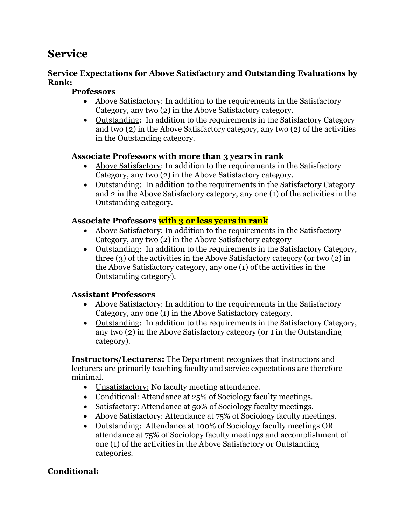## **Service**

### **Service Expectations for Above Satisfactory and Outstanding Evaluations by Rank:**

### **Professors**

- Above Satisfactory: In addition to the requirements in the Satisfactory Category, any two (2) in the Above Satisfactory category.
- Outstanding: In addition to the requirements in the Satisfactory Category and two (2) in the Above Satisfactory category, any two (2) of the activities in the Outstanding category.

### **Associate Professors with more than 3 years in rank**

- Above Satisfactory: In addition to the requirements in the Satisfactory Category, any two (2) in the Above Satisfactory category.
- Outstanding: In addition to the requirements in the Satisfactory Category and 2 in the Above Satisfactory category, any one (1) of the activities in the Outstanding category.

### **Associate Professors with 3 or less years in rank**

- Above Satisfactory: In addition to the requirements in the Satisfactory Category, any two (2) in the Above Satisfactory category
- Outstanding: In addition to the requirements in the Satisfactory Category, three (3) of the activities in the Above Satisfactory category (or two (2) in the Above Satisfactory category, any one (1) of the activities in the Outstanding category).

### **Assistant Professors**

- Above Satisfactory: In addition to the requirements in the Satisfactory Category, any one (1) in the Above Satisfactory category.
- Outstanding: In addition to the requirements in the Satisfactory Category, any two (2) in the Above Satisfactory category (or 1 in the Outstanding category).

**Instructors/Lecturers:** The Department recognizes that instructors and lecturers are primarily teaching faculty and service expectations are therefore minimal.

- Unsatisfactory: No faculty meeting attendance.
- Conditional: Attendance at 25% of Sociology faculty meetings.
- Satisfactory: Attendance at 50% of Sociology faculty meetings.
- Above Satisfactory: Attendance at 75% of Sociology faculty meetings.
- Outstanding: Attendance at 100% of Sociology faculty meetings OR attendance at 75% of Sociology faculty meetings and accomplishment of one (1) of the activities in the Above Satisfactory or Outstanding categories.

### **Conditional:**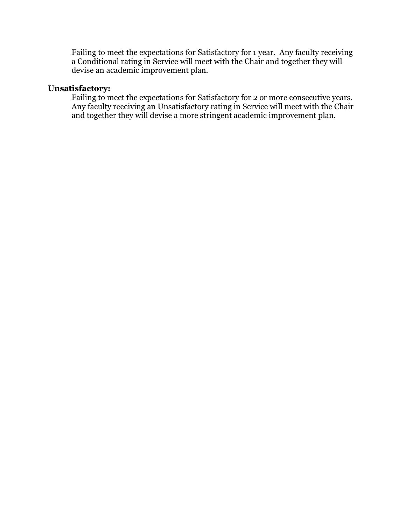Failing to meet the expectations for Satisfactory for 1 year. Any faculty receiving a Conditional rating in Service will meet with the Chair and together they will devise an academic improvement plan.

### **Unsatisfactory:**

Failing to meet the expectations for Satisfactory for 2 or more consecutive years. Any faculty receiving an Unsatisfactory rating in Service will meet with the Chair and together they will devise a more stringent academic improvement plan.